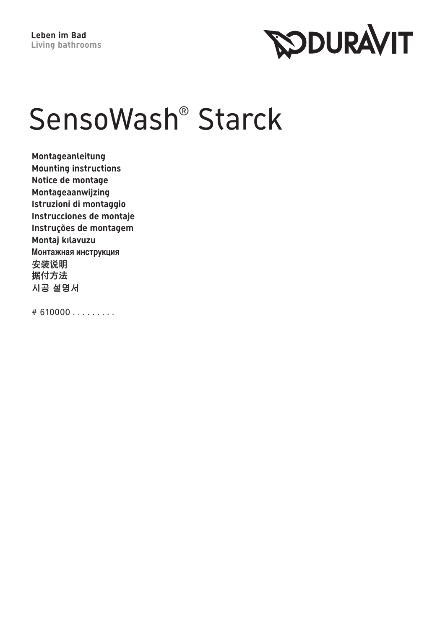

# SensoWash<sup>®</sup> Starck

 $Montageanleitung$ **Mounting instructions** Notice de montage **Montageaanwijzing Istruzioni di montaggio Instrucciones de montaje Instruções de montagem Montaj kilavuzu Монтажная инструкция** 安装说明 据付方法 시공 설명서

 $# 610000...$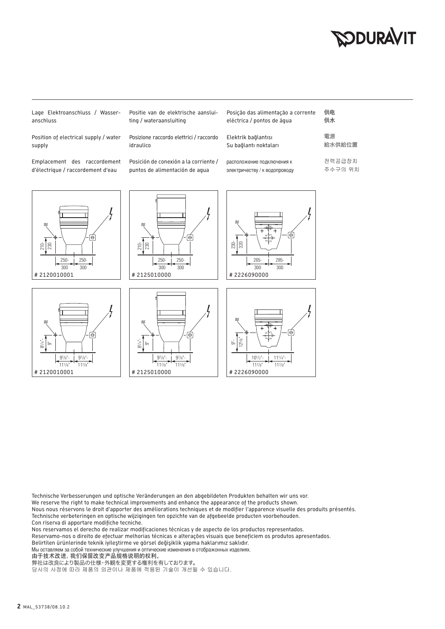#### **SODURAVIT**

Lage Elektroanschluss / Wasser $anschl$ 

Position of electrical supply / water supply

Emplacement des raccordement d'électrique / raccordement d'eau

 $117/8$ 

 $117/8$ 

# 2120010001 | # 2125010000

Posición de conexión a la corriente / puntos de alimentación de agua

Positie van de elektrische aanslui-

Posizione raccordo elettrici / raccordo

ting / wateraansluiting

idraulico

| Posição das alimentação a corrente<br>eléctrica / pontos de água | 供申<br>供水          |
|------------------------------------------------------------------|-------------------|
| Elektrik bağlantısı<br>Su bağlantı noktaları                     | 電源<br>給水供給位置      |
| расположение подключения к<br>электричеству / к водопроводу      | 전력공급장치<br>주수구의 위치 |

117/8"

#2226090000



Technische Verbesserungen und optische Veränderungen an den abgebildeten Produkten behalten wir uns vor.

We reserve the right to make technical improvements and enhance the appearance of the products shown.

117/

 $117/8$ 

Nous nous réservons le droit d'apporter des améliorations techniques et de modifier l'apparence visuelle des produits présentés. Technische verbeteringen en optische wijzigingen ten opzichte van de afgebeelde producten voorbehouden.

Con riserva di apportare modifiche tecniche.

Nos reservamos el derecho de realizar modificaciones técnicas y de aspecto de los productos representados.

Reservamo-nos o direito de efectuar melhorias técnicas e alterações visuais que beneficiem os produtos apresentados.

Belirtilen ürünlerinde teknik iyileştirme ve görsel değişiklik yapma haklarımız saklıdır.

Мы оставляем за собой технические улучшения и оптические изменения в отображонных изделиях.

由于技术改进,我们保留改变产品规格说明的权利。

弊社は改良により製品の仕様・外観を変更する権利を有しております。

당사의 사정에 따라 제품의 외관이나 제품에 적용된 기술이 개선될 수 있습니다.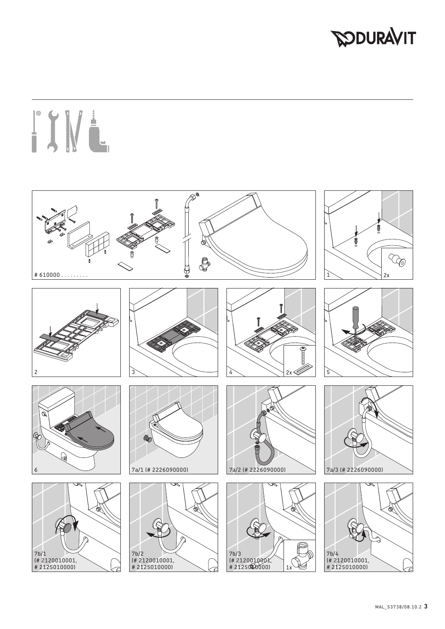### **PODURAVIT**

# ITWE

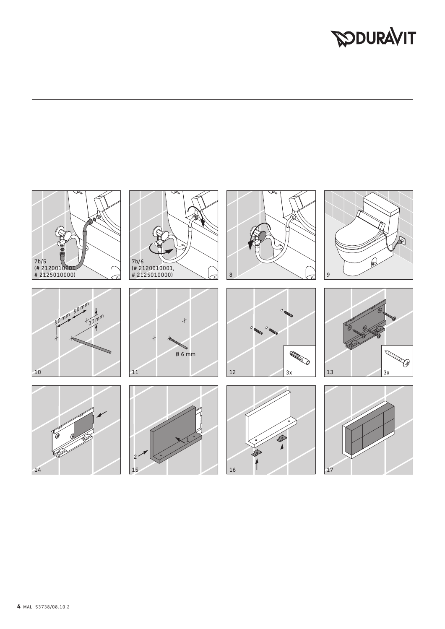## **DOURAVIT**

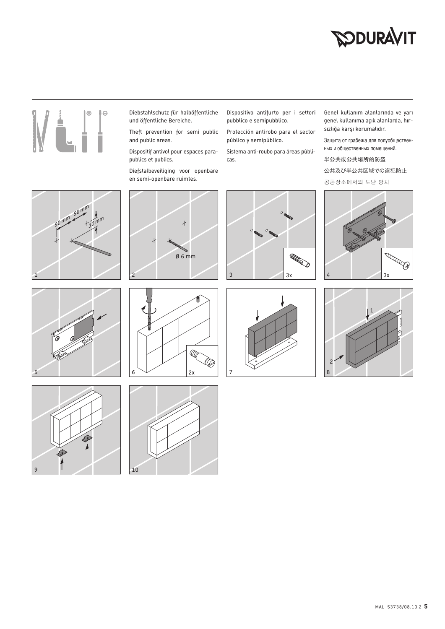### **SODURAVIT**



- Diebstahlschutz für halböffentliche und öffentliche Bereiche.
- Theft prevention for semi public and public areas.

Dispositif antivol pour espaces parapublics et publics.

Diefstalbeveiliging voor openbare en semi-openbare ruimtes.

Dispositivo antifurto per i settori pubblico e semipubblico.

Protección antirobo para el sector público y semipúblico.

Sistema anti-roubo para áreas públicas.

Genel kullanım alanlarında ve yarı genel kullanıma açık alanlarda, hırsızlığa karşı korumalıdır.

Защита от грабежа для полуобщественных и общественных помещений.

半公共或公共場所的防盜

公共及び半公共区域での盗犯防止

공공장소에서의 도난 방지